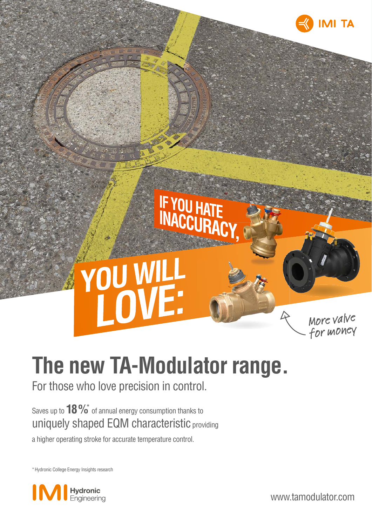

# **The new TA-Modulator range.**

IF YOU HATE

For those who love precision in control.

YOU WILL

Saves up to  $18\%$  of annual energy consumption thanks to uniquely shaped EQM characteristic providing

a higher operating stroke for accurate temperature control.

\* Hydronic College Energy Insights research



www.tamodulator.com

More valve for money